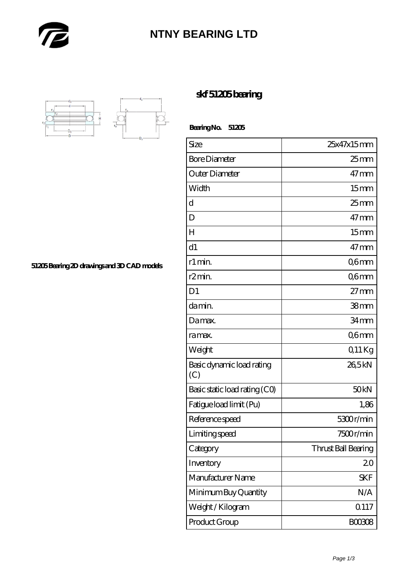

## **[NTNY BEARING LTD](https://m.abetteryeartoabetterlife.com)**



**[51205 Bearing 2D drawings and 3D CAD models](https://m.abetteryeartoabetterlife.com/pic-413678.html)**

## **[skf 51205 bearing](https://m.abetteryeartoabetterlife.com/skf-bearing/skf-51205/)**

 **Bearing No. 51205**

| Size                             | 25x47x15mm          |
|----------------------------------|---------------------|
| <b>Bore Diameter</b>             | $25$ <sub>mm</sub>  |
| Outer Diameter                   | $47 \text{mm}$      |
| Width                            | 15 <sub>mm</sub>    |
| d                                | $25$ <sub>mm</sub>  |
| D                                | $47 \text{mm}$      |
| $H_{\rm}$                        | 15 <sub>mm</sub>    |
| d1                               | $47 \,\mathrm{mm}$  |
| r1 min.                          | Q6mm                |
| r <sub>2</sub> min.              | Q6mm                |
| D <sub>1</sub>                   | $27 \text{mm}$      |
| da min.                          | 38mm                |
| Damax.                           | 34 <sub>mm</sub>    |
| ra max.                          | Q6mm                |
| Weight                           | Q11Kg               |
| Basic dynamic load rating<br>(C) | 26,5kN              |
| Basic static load rating (CO)    | 50 <sub>kN</sub>    |
| Fatigue load limit (Pu)          | 1,86                |
| Reference speed                  | 5300r/min           |
| Limiting speed                   | 7500r/min           |
| Category                         | Thrust Ball Bearing |
| Inventory                        | 20                  |
| Manufacturer Name                | <b>SKF</b>          |
| Minimum Buy Quantity             | N/A                 |
| Weight/Kilogram                  | 0.117               |
| Product Group                    | <b>BOO3O8</b>       |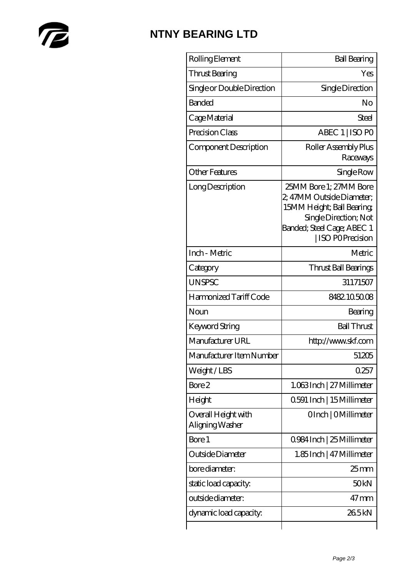

## **[NTNY BEARING LTD](https://m.abetteryeartoabetterlife.com)**

| Rolling Element                        | <b>Ball Bearing</b>                                                                                                                                         |
|----------------------------------------|-------------------------------------------------------------------------------------------------------------------------------------------------------------|
| Thrust Bearing                         | Yes                                                                                                                                                         |
| Single or Double Direction             | Single Direction                                                                                                                                            |
| <b>Banded</b>                          | No                                                                                                                                                          |
| Cage Material                          | Steel                                                                                                                                                       |
| Precision Class                        | ABEC 1   ISO PO                                                                                                                                             |
| Component Description                  | Roller Assembly Plus<br>Raceways                                                                                                                            |
| <b>Other Features</b>                  | Single Row                                                                                                                                                  |
| Long Description                       | 25MM Bore 1; 27MM Bore<br>2, 47MM Outside Diameter;<br>15MM Height; Ball Bearing;<br>Single Direction; Not<br>Banded; Steel Cage; ABEC 1<br>ISO POPrecision |
| Inch - Metric                          | Metric                                                                                                                                                      |
| Category                               | Thrust Ball Bearings                                                                                                                                        |
| <b>UNSPSC</b>                          | 31171507                                                                                                                                                    |
| Harmonized Tariff Code                 | 8482.105008                                                                                                                                                 |
| Noun                                   | Bearing                                                                                                                                                     |
| <b>Keyword String</b>                  | <b>Ball Thrust</b>                                                                                                                                          |
| Manufacturer URL                       | http://www.skf.com                                                                                                                                          |
| Manufacturer Item Number               | 51205                                                                                                                                                       |
| Weight/LBS                             | 0257                                                                                                                                                        |
| Bore 2                                 | 1.063Inch   27 Millimeter                                                                                                                                   |
| Height                                 | 0.591 Inch   15 Millimeter                                                                                                                                  |
| Overall Height with<br>Aligning Washer | OInch   OMillimeter                                                                                                                                         |
| Bore 1                                 | 0.984 Inch   25 Millimeter                                                                                                                                  |
| Outside Diameter                       | 1.85 Inch   47 Millimeter                                                                                                                                   |
| bore diameter:                         | 25 <sub>mm</sub>                                                                                                                                            |
| static load capacity.                  | 50 <sub>kN</sub>                                                                                                                                            |
| outside diameter:                      | $47$ mm                                                                                                                                                     |
| dynamic load capacity:                 | 265kN                                                                                                                                                       |